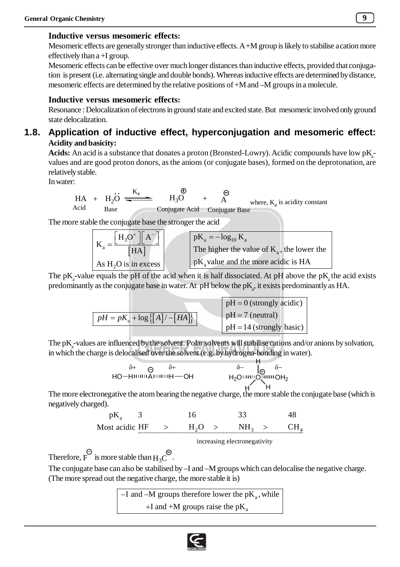## **Inductive versus mesomeric effects:**

Mesomeric effects are generally stronger than inductive effects. A +M group is likely to stabilise a cation more effectively than a +I group.

Mesomeric effects can be effective over much longer distances than inductive effects, provided that conjugation is present (i.e. alternating single and double bonds). Whereas inductive effects are determined by distance, mesomeric effects are determined by the relative positions of +M and –M groups in a molecule.

## **Inductive versus mesomeric effects:**

Resonance : Delocalization of electrons in ground state and excited state. But mesomeric involved only ground state delocalization.

# **1.8. Application of inductive effect, hyperconjugation and mesomeric effect: Acidity and basicity:**

 $\bf{Acids:}$  An acid is a substance that donates a proton (Bronsted-Lowry). Acidic compounds have low  $\rm{pK}_{a}$ values and are good proton donors, as the anions (or conjugate bases), formed on the deprotonation, are relatively stable.

In water:

$$
HA + H_2O \xrightarrow{K_a} H_3O + A
$$
\n
$$
Base
$$
\n
$$
Base
$$
\n
$$
Base
$$
\n
$$
Base
$$
\n
$$
Base
$$
\n
$$
Base
$$
\n
$$
Base
$$
\n
$$
Base
$$
\n
$$
Base
$$
\n
$$
Base
$$
\n
$$
Base
$$

The more stable the conjugate base the stronger the acid

$$
K_a = \frac{\begin{bmatrix} H_3O^+ \end{bmatrix} \begin{bmatrix} A^- \end{bmatrix}}{\begin{bmatrix} HA \end{bmatrix}}
$$
  
As  $H_2O$  is in excess  

The pK<sub>a</sub>-value equals the pH of the acid when it is half dissociated. At pH above the pK<sub>a</sub> the acid exists predominantly as the conjugate base in water. At  $pH$  below the  $pK_a$ , it exists predominantly as HA.

$$
pH = pK_a + \log \{ [A] / -[HA] \}
$$
  
 
$$
pH = 7 \text{ (neutral)}
$$
  
 
$$
pH = 7 \text{ (neutral)}
$$
  
 
$$
pH = 14 \text{ (strongly basic)}
$$

The p $K_a$ -values are influenced by the solvent. Polar solvents will stabilise cations and/or anions by solvation, in which the charge is delocalised over the solvent (e.g. by hydrogen-bonding in water).

$$
\delta + \bigoplus_{\delta + \text{Hom}(A)} \delta + \text{Hom}(A) \longrightarrow \text{Hom}(A) \longrightarrow \text{Hom}(A) \longrightarrow \text{Hom}(A) \longrightarrow \text{Hom}(A) \longrightarrow \text{Hom}(A) \longrightarrow \text{Hom}(A) \longrightarrow \text{Hom}(A) \longrightarrow \text{Hom}(A) \longrightarrow \text{Hom}(A) \longrightarrow \text{Hom}(A) \longrightarrow \text{Hom}(A) \longrightarrow \text{Hom}(A) \longrightarrow \text{Hom}(A) \longrightarrow \text{Hom}(A) \longrightarrow \text{Hom}(A) \longrightarrow \text{Hom}(A) \longrightarrow \text{Hom}(A) \longrightarrow \text{Hom}(A) \longrightarrow \text{Hom}(A) \longrightarrow \text{Hom}(A) \longrightarrow \text{Hom}(A) \longrightarrow \text{Hom}(A) \longrightarrow \text{Hom}(A) \longrightarrow \text{Hom}(A) \longrightarrow \text{Hom}(A) \longrightarrow \text{Hom}(A) \longrightarrow \text{Hom}(A) \longrightarrow \text{Hom}(A) \longrightarrow \text{Hom}(A) \longrightarrow \text{Hom}(A) \longrightarrow \text{Hom}(A) \longrightarrow \text{Hom}(A) \longrightarrow \text{Hom}(A) \longrightarrow \text{Hom}(A) \longrightarrow \text{Hom}(A) \longrightarrow \text{Hom}(A) \longrightarrow \text{Hom}(A) \longrightarrow \text{Hom}(A) \longrightarrow \text{Hom}(A) \longrightarrow \text{Hom}(A) \longrightarrow \text{Hom}(A) \longrightarrow \text{Hom}(A) \longrightarrow \text{Hom}(A) \longrightarrow \text{Hom}(A) \longrightarrow \text{Hom}(A) \longrightarrow \text{Hom}(A) \longrightarrow \text{Hom}(A) \longrightarrow \text{Hom}(A) \longrightarrow \text{Hom}(A) \longrightarrow \text{Hom}(A) \longrightarrow \text{Hom}(A) \longrightarrow \text{Hom}(A) \longrightarrow \text{Hom}(A) \longrightarrow \text{Hom}(A) \longrightarrow \text{Hom}(A) \longrightarrow \text{Hom}(A) \longrightarrow \text{Hom}(A) \longrightarrow \text{Hom}(A) \longrightarrow \text{Hom}(A) \longrightarrow \text{Hom}(A) \longrightarrow \text{Hom}(A) \longrightarrow \text{Hom}(A) \longrightarrow \text{Hom}(A) \longrightarrow \text{Hom}(A) \longrightarrow \text{Hom}(A) \longrightarrow \text{Hom}(A) \longrightarrow \text{Hom}(A) \longrightarrow \text{Hom}(A) \longrightarrow \text{Hom}(A) \longrightarrow \text{Hom}(A) \longrightarrow \text{Hom}(A) \longrightarrow \text{Hom}(A) \longrightarrow \text{Hom}(A) \longrightarrow \text{Hom}(A) \longrightarrow \text{Hom}(A) \longrightarrow \text{Hom}(A) \longrightarrow \text{Hom}(A) \longrightarrow \text{Hom}(A) \longrightarrow \text{Hom}(A) \longrightarrow \text{Hom}(A) \longrightarrow \text{Hom}(A) \longrightarrow \
$$

The more electronegative the atom bearing the negative charge, the more stable the conjugate base (which is negatively charged).

a 2 3 4 pK 3 16 33 48 Most acidic HF H O NH CH 

increasing electronegativity

Therefore, F is more stable than  $H_3C^{\ominus}$ .

The conjugate base can also be stabilised by –I and –M groups which can delocalise the negative charge. (The more spread out the negative charge, the more stable it is)

> $-I$  and  $-M$  groups therefore lower the pK<sub>a</sub>, while +I and +M groups raise the  $pK_a$